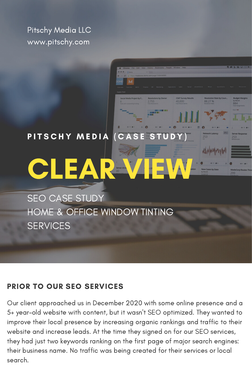Pitschy Media LLC www.pitschy.com

### PITSCHY MEDIA (CASE STUDY)

88.27 %

CLEAR VIEW

SEO CASE STUDY HOME & OFFICE WINDOW TINTING **SERVICES** 

### PRIOR TO OUR SEO SERVICES

Our client approached us in December 2020 with some online presence and a 5+ year-old website with content, but it wasn't SEO optimized. They wanted to improve their local presence by increasing organic rankings and traffic to their website and increase leads. At the time they signed on for our SEO services, they had just two keywords ranking on the first page of major search engines: their business name. No traffic was being created for their services or local search.